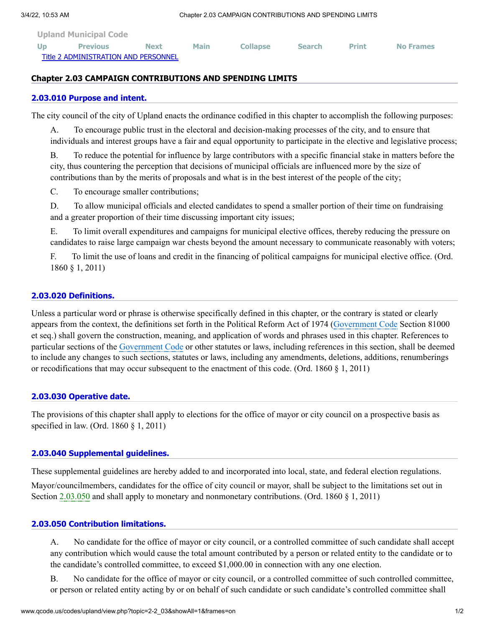| <b>Upland Municipal Code</b>         |                 |             |             |                 |               |              |                  |
|--------------------------------------|-----------------|-------------|-------------|-----------------|---------------|--------------|------------------|
| U <sub>D</sub>                       | <b>Previous</b> | <b>Next</b> | <b>Main</b> | <b>Collapse</b> | <b>Search</b> | <b>Print</b> | <b>No Frames</b> |
| Title 2 ADMINISTRATION AND PERSONNEL |                 |             |             |                 |               |              |                  |

## **Chapter 2.03 CAMPAIGN CONTRIBUTIONS AND SPENDING LIMITS**

### **[2.03.010 Purpose and intent.](http://www.qcode.us/codes/upland/view.php?topic=2-2_03-2_03_010&frames=on)**

The city council of the city of Upland enacts the ordinance codified in this chapter to accomplish the following purposes:

A. To encourage public trust in the electoral and decision-making processes of the city, and to ensure that individuals and interest groups have a fair and equal opportunity to participate in the elective and legislative process;

B. To reduce the potential for influence by large contributors with a specific financial stake in matters before the city, thus countering the perception that decisions of municipal officials are influenced more by the size of contributions than by the merits of proposals and what is in the best interest of the people of the city;

C. To encourage smaller contributions;

D. To allow municipal officials and elected candidates to spend a smaller portion of their time on fundraising and a greater proportion of their time discussing important city issues;

E. To limit overall expenditures and campaigns for municipal elective offices, thereby reducing the pressure on candidates to raise large campaign war chests beyond the amount necessary to communicate reasonably with voters;

F. To limit the use of loans and credit in the financing of political campaigns for municipal elective office. (Ord. 1860 § 1, 2011)

# **[2.03.020 Definitions.](http://www.qcode.us/codes/upland/view.php?topic=2-2_03-2_03_020&frames=on)**

Unless a particular word or phrase is otherwise specifically defined in this chapter, or the contrary is stated or clearly appears from the context, the definitions set forth in the Political Reform Act of 1974 [\(Government](http://www.qcode.us/codes/othercode.php?state=ca&code=gov) Code Section 81000 et seq.) shall govern the construction, meaning, and application of words and phrases used in this chapter. References to particular sections of the [Government](http://www.qcode.us/codes/othercode.php?state=ca&code=gov) Code or other statutes or laws, including references in this section, shall be deemed to include any changes to such sections, statutes or laws, including any amendments, deletions, additions, renumberings or recodifications that may occur subsequent to the enactment of this code. (Ord. 1860 § 1, 2011)

## **[2.03.030 Operative date.](http://www.qcode.us/codes/upland/view.php?topic=2-2_03-2_03_030&frames=on)**

The provisions of this chapter shall apply to elections for the office of mayor or city council on a prospective basis as specified in law. (Ord. 1860 § 1, 2011)

#### **[2.03.040 Supplemental guidelines.](http://www.qcode.us/codes/upland/view.php?topic=2-2_03-2_03_040&frames=on)**

These supplemental guidelines are hereby added to and incorporated into local, state, and federal election regulations.

Mayor/councilmembers, candidates for the office of city council or mayor, shall be subject to the limitations set out in Section [2.03.050](http://www.qcode.us/codes/upland/view.php?cite=section_2.03.050&confidence=6) and shall apply to monetary and nonmonetary contributions. (Ord. 1860 § 1, 2011)

### **[2.03.050 Contribution limitations.](http://www.qcode.us/codes/upland/view.php?topic=2-2_03-2_03_050&frames=on)**

A. No candidate for the office of mayor or city council, or a controlled committee of such candidate shall accept any contribution which would cause the total amount contributed by a person or related entity to the candidate or to the candidate's controlled committee, to exceed \$1,000.00 in connection with any one election.

B. No candidate for the office of mayor or city council, or a controlled committee of such controlled committee, or person or related entity acting by or on behalf of such candidate or such candidate's controlled committee shall